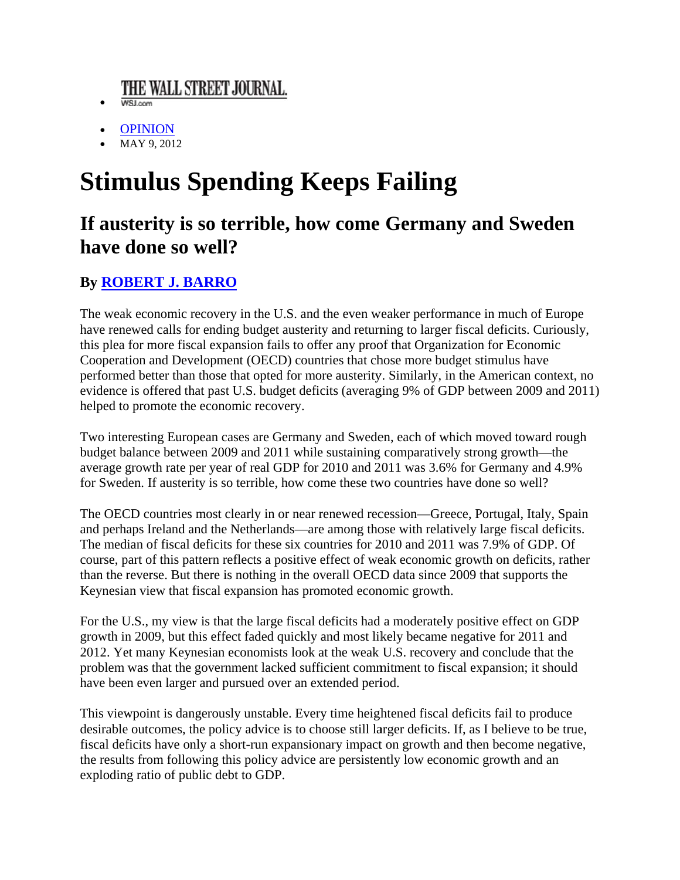## THE WALL STREET JOURNAL.

- WSJ.com
- **OPINION**
- MAY 9, 2012

## **Stimulus Spending Keeps Failing**

## If austerity is so terrible, how come Germany and Sweden have done so well?

## **By ROBERT J. BARRO**

The weak economic recovery in the U.S. and the even weaker performance in much of Europe have renewed calls for ending budget austerity and returning to larger fiscal deficits. Curiously, this plea for more fiscal expansion fails to offer any proof that Organization for Economic Cooperation and Development (OECD) countries that chose more budget stimulus have performed better than those that opted for more austerity. Similarly, in the American context, no evidence is offered that past U.S. budget deficits (averaging 9% of GDP between 2009 and 2011) helped to promote the economic recovery.

Two interesting European cases are Germany and Sweden, each of which moved toward rough budget balance between 2009 and 2011 while sustaining comparatively strong growth—the average growth rate per year of real GDP for 2010 and 2011 was 3.6% for Germany and 4.9% for Sweden. If austerity is so terrible, how come these two countries have done so well?

The OECD countries most clearly in or near renewed recession—Greece, Portugal, Italy, Spain and perhaps Ireland and the Netherlands—are among those with relatively large fiscal deficits. The median of fiscal deficits for these six countries for 2010 and 2011 was 7.9% of GDP. Of course, part of this pattern reflects a positive effect of weak economic growth on deficits, rather than the reverse. But there is nothing in the overall OECD data since 2009 that supports the Keynesian view that fiscal expansion has promoted economic growth.

For the U.S., my view is that the large fiscal deficits had a moderately positive effect on GDP growth in 2009, but this effect faded quickly and most likely became negative for 2011 and 2012. Yet many Keynesian economists look at the weak U.S. recovery and conclude that the problem was that the government lacked sufficient commitment to fiscal expansion; it should have been even larger and pursued over an extended period.

This viewpoint is dangerously unstable. Every time heightened fiscal deficits fail to produce desirable outcomes, the policy advice is to choose still larger deficits. If, as I believe to be true, fiscal deficits have only a short-run expansionary impact on growth and then become negative, the results from following this policy advice are persistently low economic growth and an exploding ratio of public debt to GDP.